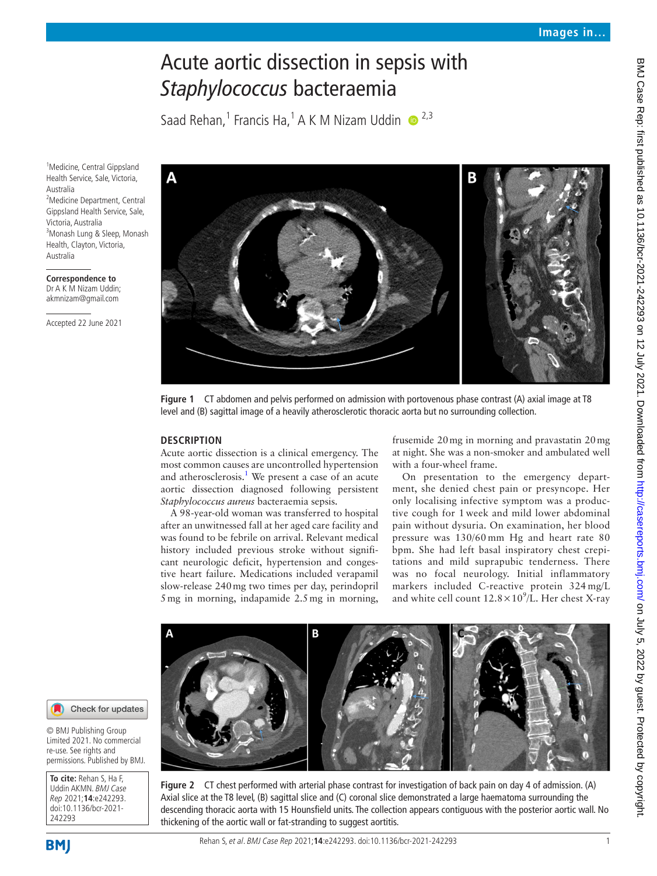# Acute aortic dissection in sepsis with *Staphylococcus* bacteraemia

Saad Rehan,<sup>1</sup> Francis Ha,<sup>1</sup> A K M Nizam Uddin  $\bullet$ <sup>2,3</sup>

<sup>1</sup> Medicine, Central Gippsland Health Service, Sale, Victoria, Australia <sup>2</sup>Medicine Department, Central Gippsland Health Service, Sale, Victoria, Australia 3 Monash Lung & Sleep, Monash Health, Clayton, Victoria, Australia

**Correspondence to** Dr A K M Nizam Uddin; akmnizam@gmail.com

Accepted 22 June 2021



**Figure 1** CT abdomen and pelvis performed on admission with portovenous phase contrast (A) axial image at T8 level and (B) sagittal image of a heavily atherosclerotic thoracic aorta but no surrounding collection.

# <span id="page-0-0"></span>**DESCRIPTION**

Acute aortic dissection is a clinical emergency. The most common causes are uncontrolled hypertension and atherosclerosis.<sup>[1](#page-1-0)</sup> We present a case of an acute aortic dissection diagnosed following persistent *Staphylococcus aureus* bacteraemia sepsis.

A 98-year-old woman was transferred to hospital after an unwitnessed fall at her aged care facility and was found to be febrile on arrival. Relevant medical history included previous stroke without significant neurologic deficit, hypertension and congestive heart failure. Medications included verapamil slow-release 240mg two times per day, perindopril 5mg in morning, indapamide 2.5mg in morning,

frusemide 20mg in morning and pravastatin 20mg at night. She was a non-smoker and ambulated well with a four-wheel frame.

On presentation to the emergency department, she denied chest pain or presyncope. Her only localising infective symptom was a productive cough for 1 week and mild lower abdominal pain without dysuria. On examination, her blood pressure was 130/60 mm Hg and heart rate 80 bpm. She had left basal inspiratory chest crepitations and mild suprapubic tenderness. There was no focal neurology. Initial inflammatory markers included C-reactive protein 324 mg/L and white cell count  $12.8 \times 10^9$ /L. Her chest X-ray



<span id="page-0-1"></span>



© BMJ Publishing Group Limited 2021. No commercial re-use. See rights and permissions. Published by BMJ.

**To cite:** Rehan S, Ha F, Uddin AKMN. BMJ Case Rep 2021;**14**:e242293. doi:10.1136/bcr-2021- 242293